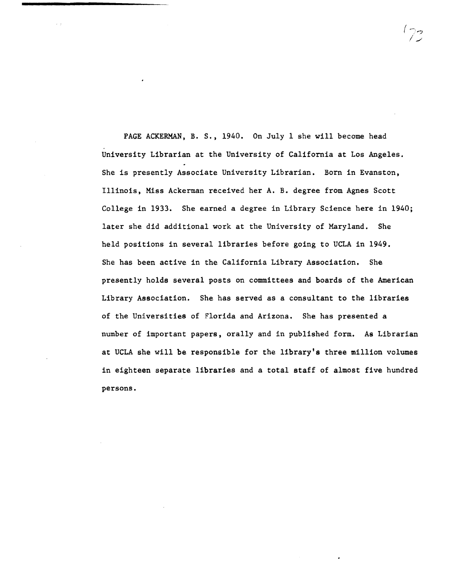PAGE ACKERMAN, B. S., 1940. On July 1 she will become head University Librarian at the University of California at Los Angeles. She is presently Associate University Librarian. Born in Evanston, Illinois, Miss Ackerman received her A. B. degree from Agnes Scott College in 1933. She earned a degree in Library Science here in 1940; later she did additional work at the University of Maryland. She held positions in several libraries before going to UCLA in 1949. She has been active in the California Library Association. She presently holds several posts on committees and boards of the American Library Association. She has served as a consultant to the libraries of the Universities of Florida and Arizona. She has presented a number of important papers, orally and in published form. As Librarian at UCLA she will be responsible for the library's three million volumes in eighteen separate libraries and a total staff of almost five hundred persons.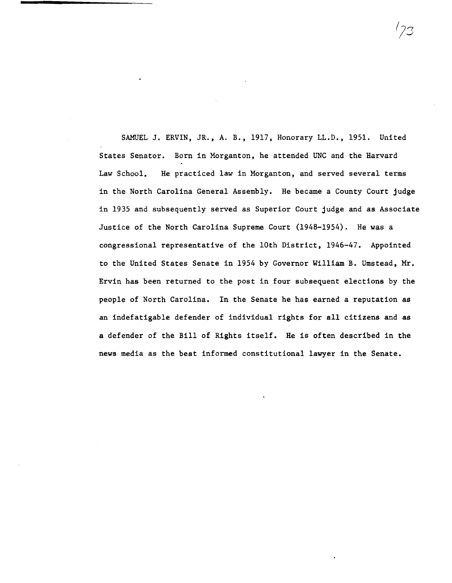SAMUEL J. ERVIN, JR., A. B., 1917, Honorary LL.D., 1951. United States Senator. Born in Morganton, he attended UNC and the Harvard Law School. He practiced law in Morganton, and served several terms in the North Carolina General Assembly. He became a County Court judge in 1935 and subsequently served as Superior Court judge and as Associate Justice of the North Carolina Supreme Court (1948-1954). He was a congressional representative of the 10th District, 1946-47. Appointed to the United States Senate in 1954 by Governor William B. Umstead, Mr. Ervin has been returned to the post in four subsequent elections by the people of North Carolina. In the Senate he has earned a reputation as an indefatigable defender of individual rights for all citizens and as a defender of the Bill of Rights itself. He is often described in the news media as the best informed constitutional lawyer in the Senate.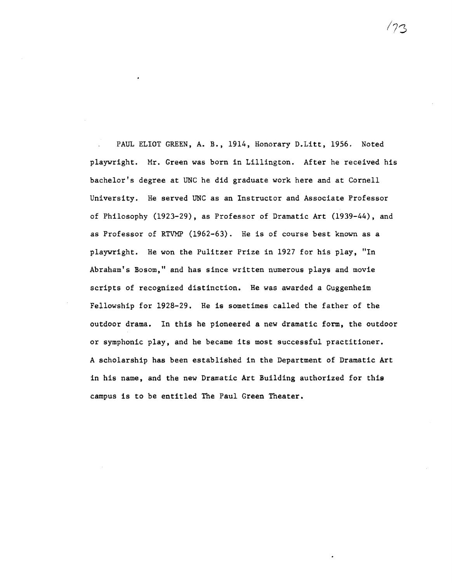PAUL ELIOT GREEN, A. B., 1914, Honorary D.Litt, 1956. Noted playwright. Mr. Green was born in Lillington. After he received his bachelor's degree at UNC he did graduate work here and at Cornell University. He served UNC as an Instructor and Associate Professor of Philosophy (1923-29), as Professor of Dramatic Art (1939-44), and as Professor of RTVMP (1962-63). He is of course best known as a playwright. He won the Pulitzer Prize in 1927 for his play, "In Abraham's Bosom," and has since written numerous plays and movie scripts of recognized distinction. He was awarded a Guggenheim Fellowship for 1928-29. He is sometimes called the father of the outdoor drama. In this he pioneered a new dramatic form, the outdoor or symphonic play, and he became its most successful practitioner. A scholarship has been established in the Department of Dramatic Art in his name, and the new Dramatic Art Building authorized for this campus is to be entitled The Paul Green Theater.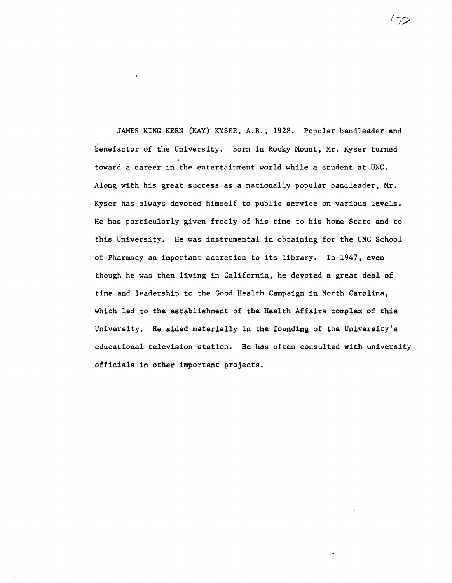JAMES KING KERN (KAY) KYSER, A.B., 1928. Popular bandleader and benefactor of the University. Born in Rocky Mount, Mr. Kyser turned toward a career in the entertainment world while a student at UNC. Along with his great success as a nationally popular bandleader, Mr. Kyser has always devoted himself to public service on various levels. He has particularly given freely of his time to his home State and to this University. He was instrumental in obtaining for the UNC School of Pharmacy an important accretion to its library. In 1947, even though he was then living in California, he devoted a great deal of time and leadership to the Good Health Campaign in North Carolina, which led to the establishment of the Health Affairs complex of this University. He aided materially in the founding of the University's educational television station. He has often consulted with university officials in other important projects.